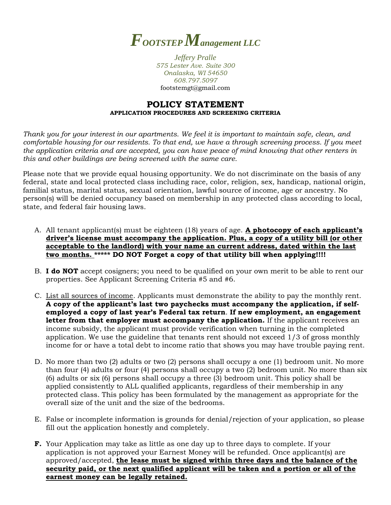

*Jeffery Pralle 575 Lester Ave. Suite 300 Onalaska, WI 54650 608.797.5097* footstemgt@gmail.com

## **POLICY STATEMENT APPLICATION PROCEDURES AND SCREENING CRITERIA**

*Thank you for your interest in our apartments. We feel it is important to maintain safe, clean, and comfortable housing for our residents. To that end, we have a through screening process. If you meet the application criteria and are accepted, you can have peace of mind knowing that other renters in this and other buildings are being screened with the same care.*

Please note that we provide equal housing opportunity. We do not discriminate on the basis of any federal, state and local protected class including race, color, religion, sex, handicap, national origin, familial status, marital status, sexual orientation, lawful source of income, age or ancestry. No person(s) will be denied occupancy based on membership in any protected class according to local, state, and federal fair housing laws.

- A. All tenant applicant(s) must be eighteen (18) years of age. **A photocopy of each applicant's driver's license must accompany the application. Plus, a copy of a utility bill (or other acceptable to the landlord) with your name an current address, dated within the last two months. \*\*\*\*\* DO NOT Forget a copy of that utility bill when applying!!!!**
- B. **I do NOT** accept cosigners; you need to be qualified on your own merit to be able to rent our properties. See Applicant Screening Criteria #5 and #6.
- C. List all sources of income. Applicants must demonstrate the ability to pay the monthly rent. **A copy of the applicant's last two paychecks must accompany the application, if selfemployed a copy of last year's Federal tax return**. **If new employment, an engagement**  letter from that employer must accompany the application. If the applicant receives an income subsidy, the applicant must provide verification when turning in the completed application. We use the guideline that tenants rent should not exceed 1/3 of gross monthly income for or have a total debt to income ratio that shows you may have trouble paying rent.
- D. No more than two (2) adults or two (2) persons shall occupy a one (1) bedroom unit. No more than four (4) adults or four (4) persons shall occupy a two (2) bedroom unit. No more than six (6) adults or six (6) persons shall occupy a three (3) bedroom unit. This policy shall be applied consistently to ALL qualified applicants, regardless of their membership in any protected class. This policy has been formulated by the management as appropriate for the overall size of the unit and the size of the bedrooms.
- E. False or incomplete information is grounds for denial/rejection of your application, so please fill out the application honestly and completely.
- **F.** Your Application may take as little as one day up to three days to complete. If your application is not approved your Earnest Money will be refunded. Once applicant(s) are approved/accepted, **the lease must be signed within three days and the balance of the security paid, or the next qualified applicant will be taken and a portion or all of the earnest money can be legally retained.**